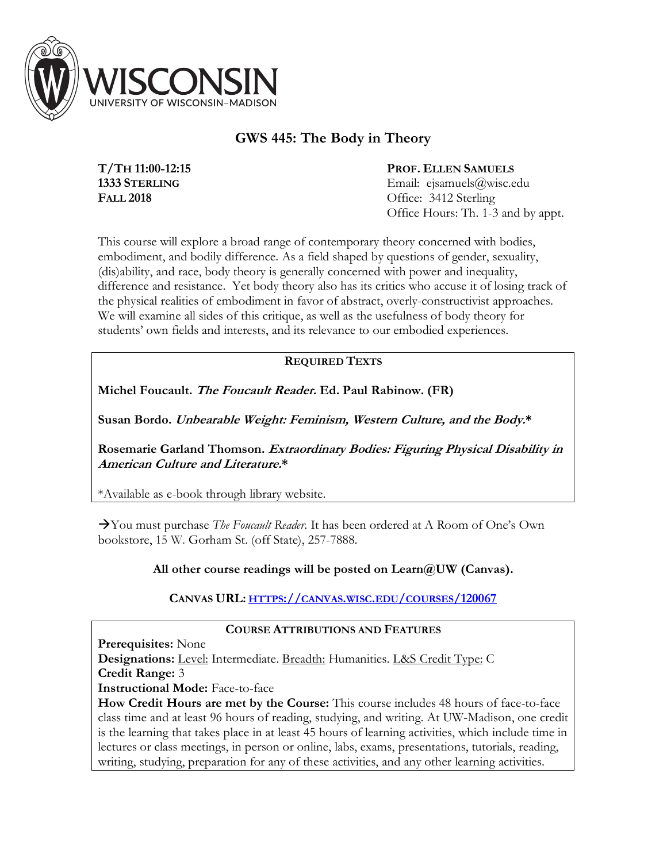

# **GWS 445: The Body in Theory**

**T/TH 11:00-12:15 1333 STERLING FALL 2018**

**PROF. ELLEN SAMUELS** Email: ejsamuels@wisc.edu Office: 3412 Sterling Office Hours: Th. 1-3 and by appt.

This course will explore a broad range of contemporary theory concerned with bodies, embodiment, and bodily difference. As a field shaped by questions of gender, sexuality, (dis)ability, and race, body theory is generally concerned with power and inequality, difference and resistance. Yet body theory also has its critics who accuse it of losing track of the physical realities of embodiment in favor of abstract, overly-constructivist approaches. We will examine all sides of this critique, as well as the usefulness of body theory for students' own fields and interests, and its relevance to our embodied experiences.

# **REQUIRED TEXTS**

**Michel Foucault. The Foucault Reader. Ed. Paul Rabinow. (FR)**

**Susan Bordo. Unbearable Weight: Feminism, Western Culture, and the Body.\***

**Rosemarie Garland Thomson. Extraordinary Bodies: Figuring Physical Disability in American Culture and Literature.\***

\*Available as e-book through library website.

àYou must purchase *The Foucault Reader*. It has been ordered at A Room of One's Own bookstore, 15 W. Gorham St. (off State), 257-7888.

**All other course readings will be posted on Learn@UW (Canvas).**

**CANVAS URL: HTTPS://CANVAS.WISC.EDU/COURSES/120067**

# **COURSE ATTRIBUTIONS AND FEATURES**

**Prerequisites:** None

**Designations:** Level: Intermediate. Breadth: Humanities. L&S Credit Type: C **Credit Range:** 3

**Instructional Mode:** Face-to-face

**How Credit Hours are met by the Course:** This course includes 48 hours of face-to-face class time and at least 96 hours of reading, studying, and writing. At UW-Madison, one credit is the learning that takes place in at least 45 hours of learning activities, which include time in lectures or class meetings, in person or online, labs, exams, presentations, tutorials, reading, writing, studying, preparation for any of these activities, and any other learning activities.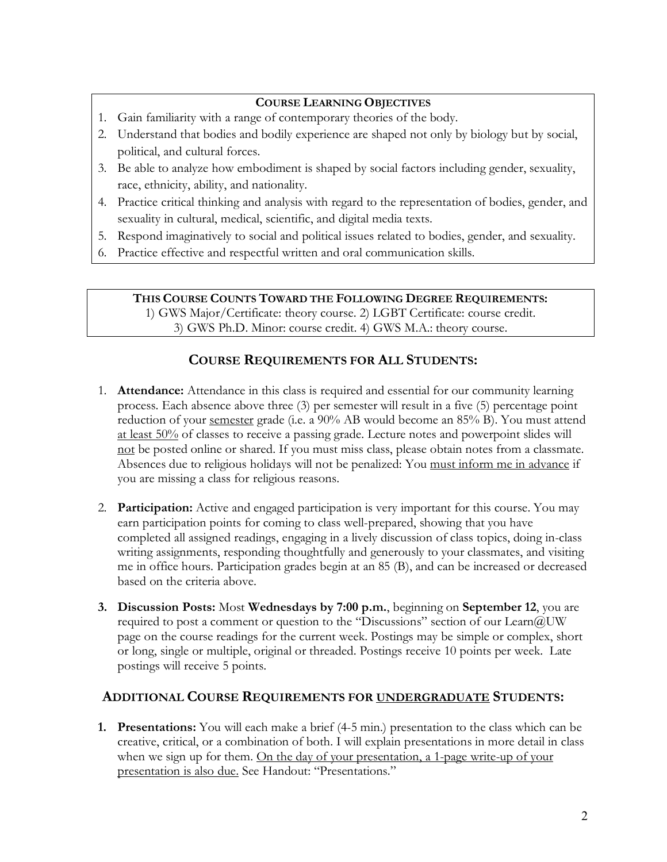# **COURSE LEARNING OBJECTIVES**

- 1. Gain familiarity with a range of contemporary theories of the body.
- 2. Understand that bodies and bodily experience are shaped not only by biology but by social, political, and cultural forces.
- 3. Be able to analyze how embodiment is shaped by social factors including gender, sexuality, race, ethnicity, ability, and nationality.
- 4. Practice critical thinking and analysis with regard to the representation of bodies, gender, and sexuality in cultural, medical, scientific, and digital media texts.
- 5. Respond imaginatively to social and political issues related to bodies, gender, and sexuality.
- 6. Practice effective and respectful written and oral communication skills.

**THIS COURSE COUNTS TOWARD THE FOLLOWING DEGREE REQUIREMENTS:**

1) GWS Major/Certificate: theory course. 2) LGBT Certificate: course credit. 3) GWS Ph.D. Minor: course credit. 4) GWS M.A.: theory course.

# **COURSE REQUIREMENTS FOR ALL STUDENTS:**

- 1. **Attendance:** Attendance in this class is required and essential for our community learning process. Each absence above three (3) per semester will result in a five (5) percentage point reduction of your semester grade (i.e. a 90% AB would become an 85% B). You must attend at least 50% of classes to receive a passing grade. Lecture notes and powerpoint slides will not be posted online or shared. If you must miss class, please obtain notes from a classmate. Absences due to religious holidays will not be penalized: You must inform me in advance if you are missing a class for religious reasons.
- 2. **Participation:** Active and engaged participation is very important for this course. You may earn participation points for coming to class well-prepared, showing that you have completed all assigned readings, engaging in a lively discussion of class topics, doing in-class writing assignments, responding thoughtfully and generously to your classmates, and visiting me in office hours. Participation grades begin at an 85 (B), and can be increased or decreased based on the criteria above.
- **3. Discussion Posts:** Most **Wednesdays by 7:00 p.m.**, beginning on **September 12**, you are required to post a comment or question to the "Discussions" section of our Learn@UW page on the course readings for the current week. Postings may be simple or complex, short or long, single or multiple, original or threaded. Postings receive 10 points per week. Late postings will receive 5 points.

# **ADDITIONAL COURSE REQUIREMENTS FOR UNDERGRADUATE STUDENTS:**

**1. Presentations:** You will each make a brief (4-5 min.) presentation to the class which can be creative, critical, or a combination of both. I will explain presentations in more detail in class when we sign up for them. On the day of your presentation, a 1-page write-up of your presentation is also due. See Handout: "Presentations."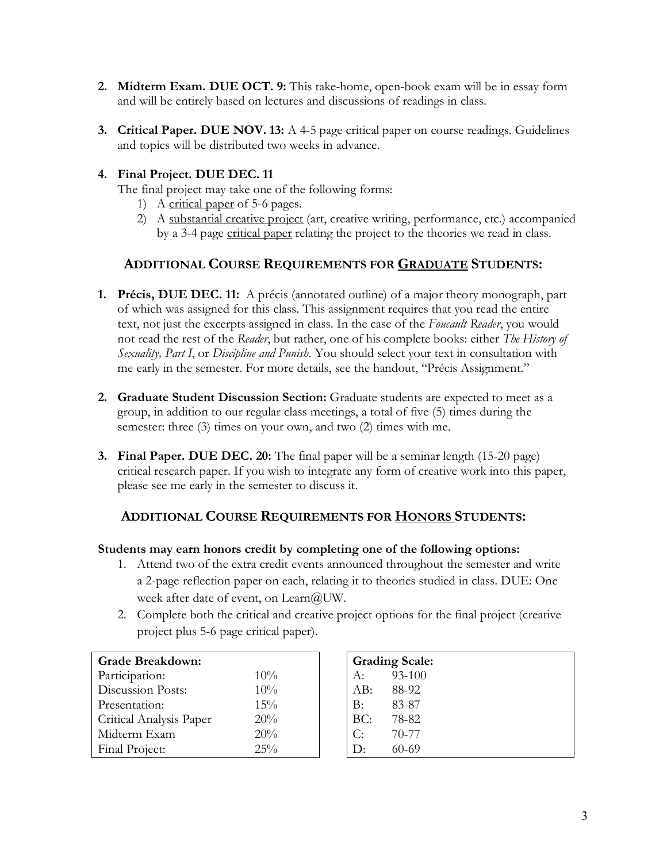- **2. Midterm Exam. DUE OCT. 9:** This take-home, open-book exam will be in essay form and will be entirely based on lectures and discussions of readings in class.
- **3. Critical Paper. DUE NOV. 13:** A 4-5 page critical paper on course readings. Guidelines and topics will be distributed two weeks in advance.

# **4. Final Project. DUE DEC. 11**

The final project may take one of the following forms:

- 1) A critical paper of 5-6 pages.
- 2) A substantial creative project (art, creative writing, performance, etc.) accompanied by a 3-4 page critical paper relating the project to the theories we read in class.

# **ADDITIONAL COURSE REQUIREMENTS FOR GRADUATE STUDENTS:**

- **1. Précis, DUE DEC. 11:** A précis (annotated outline) of a major theory monograph, part of which was assigned for this class. This assignment requires that you read the entire text, not just the excerpts assigned in class. In the case of the *Foucault Reader*, you would not read the rest of the *Reader*, but rather, one of his complete books: either *The History of Sexuality, Part I*, or *Discipline and Punish*. You should select your text in consultation with me early in the semester. For more details, see the handout, "Précis Assignment."
- **2. Graduate Student Discussion Section:** Graduate students are expected to meet as a group, in addition to our regular class meetings, a total of five (5) times during the semester: three (3) times on your own, and two (2) times with me.
- **3. Final Paper. DUE DEC. 20:** The final paper will be a seminar length (15-20 page) critical research paper. If you wish to integrate any form of creative work into this paper, please see me early in the semester to discuss it.

# **ADDITIONAL COURSE REQUIREMENTS FOR HONORS STUDENTS:**

# **Students may earn honors credit by completing one of the following options:**

- 1. Attend two of the extra credit events announced throughout the semester and write a 2-page reflection paper on each, relating it to theories studied in class. DUE: One week after date of event, on Learn@UW.
- 2. Complete both the critical and creative project options for the final project (creative project plus 5-6 page critical paper).

| <b>Grade Breakdown:</b> |     |
|-------------------------|-----|
| Participation:          | 10% |
| Discussion Posts:       | 10% |
| Presentation:           | 15% |
| Critical Analysis Paper | 20% |
| Midterm Exam            | 20% |
| Final Project:          | 25% |

| <b>Grading Scale:</b> |            |
|-----------------------|------------|
| A:                    | $93 - 100$ |
| AB:                   | 88-92      |
| $\rm B$ :             | 83-87      |
| BC:                   | 78-82      |
| C:                    | 70-77      |
| D:                    | $60 - 69$  |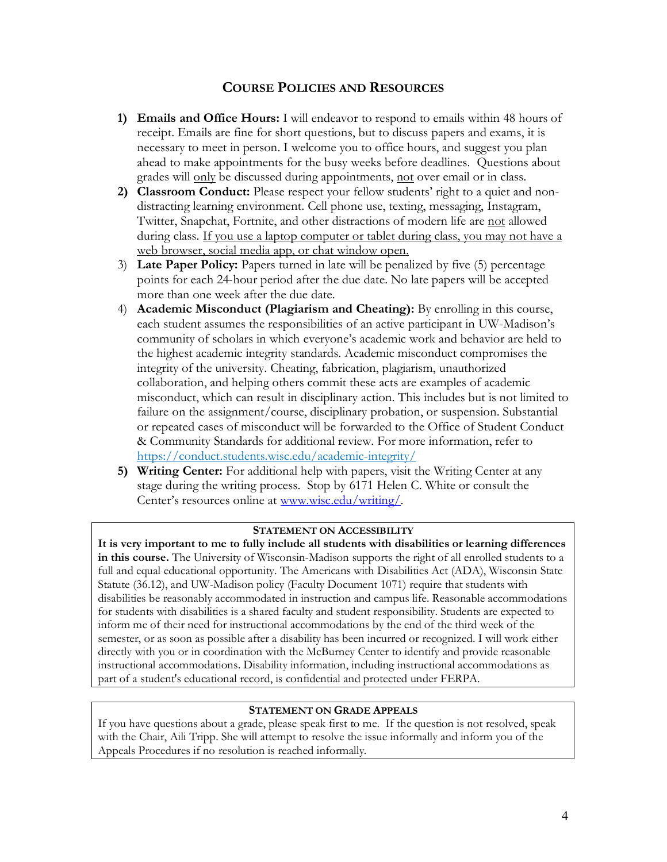# **COURSE POLICIES AND RESOURCES**

- **1) Emails and Office Hours:** I will endeavor to respond to emails within 48 hours of receipt. Emails are fine for short questions, but to discuss papers and exams, it is necessary to meet in person. I welcome you to office hours, and suggest you plan ahead to make appointments for the busy weeks before deadlines. Questions about grades will only be discussed during appointments, not over email or in class.
- **2) Classroom Conduct:** Please respect your fellow students' right to a quiet and nondistracting learning environment. Cell phone use, texting, messaging, Instagram, Twitter, Snapchat, Fortnite, and other distractions of modern life are not allowed during class. If you use a laptop computer or tablet during class, you may not have a web browser, social media app, or chat window open.
- 3) **Late Paper Policy:** Papers turned in late will be penalized by five (5) percentage points for each 24-hour period after the due date. No late papers will be accepted more than one week after the due date.
- 4) **Academic Misconduct (Plagiarism and Cheating):** By enrolling in this course, each student assumes the responsibilities of an active participant in UW-Madison's community of scholars in which everyone's academic work and behavior are held to the highest academic integrity standards. Academic misconduct compromises the integrity of the university. Cheating, fabrication, plagiarism, unauthorized collaboration, and helping others commit these acts are examples of academic misconduct, which can result in disciplinary action. This includes but is not limited to failure on the assignment/course, disciplinary probation, or suspension. Substantial or repeated cases of misconduct will be forwarded to the Office of Student Conduct & Community Standards for additional review. For more information, refer to https://conduct.students.wisc.edu/academic-integrity/
- **5) Writing Center:** For additional help with papers, visit the Writing Center at any stage during the writing process. Stop by 6171 Helen C. White or consult the Center's resources online at www.wisc.edu/writing/.

# **STATEMENT ON ACCESSIBILITY**

**It is very important to me to fully include all students with disabilities or learning differences in this course.** The University of Wisconsin-Madison supports the right of all enrolled students to a full and equal educational opportunity. The Americans with Disabilities Act (ADA), Wisconsin State Statute (36.12), and UW-Madison policy (Faculty Document 1071) require that students with disabilities be reasonably accommodated in instruction and campus life. Reasonable accommodations for students with disabilities is a shared faculty and student responsibility. Students are expected to inform me of their need for instructional accommodations by the end of the third week of the semester, or as soon as possible after a disability has been incurred or recognized. I will work either directly with you or in coordination with the McBurney Center to identify and provide reasonable instructional accommodations. Disability information, including instructional accommodations as part of a student's educational record, is confidential and protected under FERPA.

# **STATEMENT ON GRADE APPEALS**

If you have questions about a grade, please speak first to me. If the question is not resolved, speak with the Chair, Aili Tripp. She will attempt to resolve the issue informally and inform you of the Appeals Procedures if no resolution is reached informally.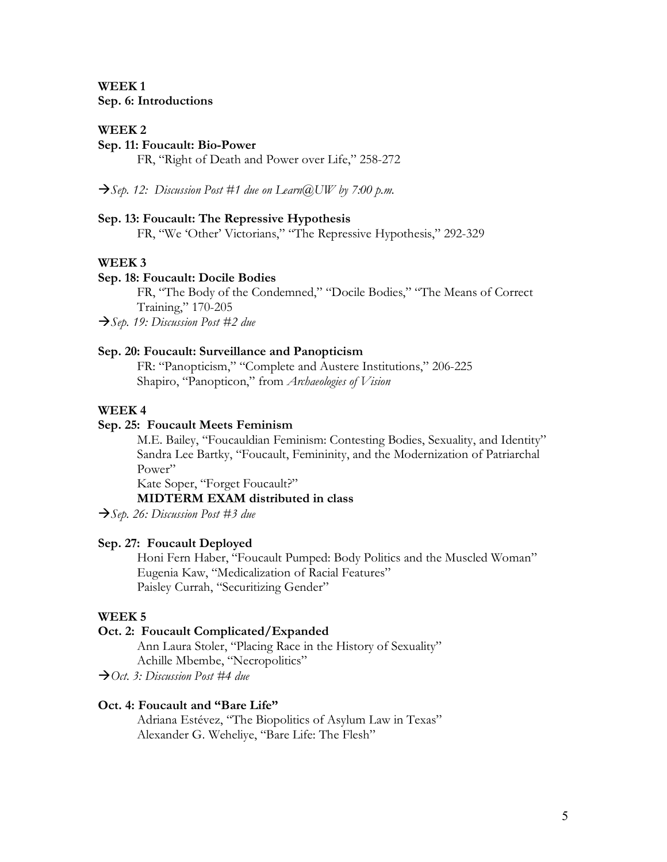# **WEEK 1 Sep. 6: Introductions**

#### **WEEK 2**

### **Sep. 11: Foucault: Bio-Power**

FR, "Right of Death and Power over Life," 258-272

 $\rightarrow$  Sep. 12: Discussion Post #1 due on Learn@UW by 7:00 p.m.

#### **Sep. 13: Foucault: The Repressive Hypothesis**

FR, "We 'Other' Victorians," "The Repressive Hypothesis," 292-329

#### **WEEK 3**

#### **Sep. 18: Foucault: Docile Bodies**

FR, "The Body of the Condemned," "Docile Bodies," "The Means of Correct Training," 170-205

à*Sep. 19: Discussion Post #2 due* 

#### **Sep. 20: Foucault: Surveillance and Panopticism**

FR: "Panopticism," "Complete and Austere Institutions," 206-225 Shapiro, "Panopticon," from *Archaeologies of Vision*

#### **WEEK 4**

### **Sep. 25: Foucault Meets Feminism**

M.E. Bailey, "Foucauldian Feminism: Contesting Bodies, Sexuality, and Identity" Sandra Lee Bartky, "Foucault, Femininity, and the Modernization of Patriarchal Power"

Kate Soper, "Forget Foucault?"

### **MIDTERM EXAM distributed in class**

à*Sep. 26: Discussion Post #3 due*

#### **Sep. 27: Foucault Deployed**

Honi Fern Haber, "Foucault Pumped: Body Politics and the Muscled Woman" Eugenia Kaw, "Medicalization of Racial Features" Paisley Currah, "Securitizing Gender"

# **WEEK 5**

# **Oct. 2: Foucault Complicated/Expanded**

Ann Laura Stoler, "Placing Race in the History of Sexuality" Achille Mbembe, "Necropolitics"

à*Oct. 3: Discussion Post #4 due*

## **Oct. 4: Foucault and "Bare Life"**

Adriana Estévez, "The Biopolitics of Asylum Law in Texas" Alexander G. Weheliye, "Bare Life: The Flesh"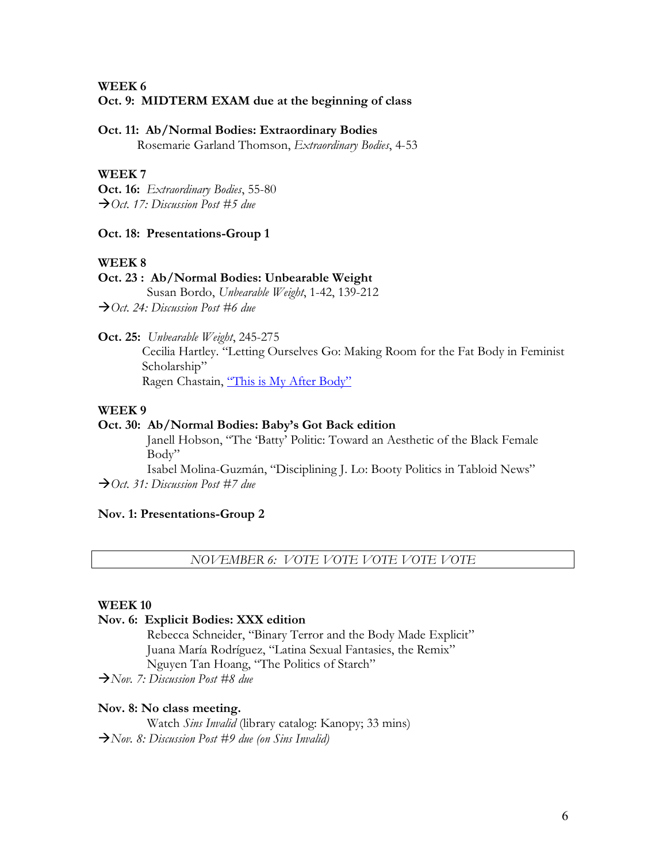**WEEK 6** 

# **Oct. 9: MIDTERM EXAM due at the beginning of class**

#### **Oct. 11: Ab/Normal Bodies: Extraordinary Bodies**

Rosemarie Garland Thomson, *Extraordinary Bodies*, 4-53

#### **WEEK 7**

**Oct. 16:** *Extraordinary Bodies*, 55-80 à*Oct. 17: Discussion Post #5 due*

# **Oct. 18: Presentations-Group 1**

### **WEEK 8**

# **Oct. 23 : Ab/Normal Bodies: Unbearable Weight**

Susan Bordo, *Unbearable Weight*, 1-42, 139-212 à*Oct. 24: Discussion Post #6 due*

**Oct. 25:** *Unbearable Weight*, 245-275

Cecilia Hartley. "Letting Ourselves Go: Making Room for the Fat Body in Feminist Scholarship" Ragen Chastain, "This is My After Body"

**WEEK 9**

# **Oct. 30: Ab/Normal Bodies: Baby's Got Back edition**

Janell Hobson, "The 'Batty' Politic: Toward an Aesthetic of the Black Female Body"

Isabel Molina-Guzmán, "Disciplining J. Lo: Booty Politics in Tabloid News" à*Oct. 31: Discussion Post #7 due*

#### **Nov. 1: Presentations-Group 2**

*NOVEMBER 6: VOTE VOTE VOTE VOTE VOTE*

#### **WEEK 10**

#### **Nov. 6: Explicit Bodies: XXX edition**

Rebecca Schneider, "Binary Terror and the Body Made Explicit" Juana María Rodríguez, "Latina Sexual Fantasies, the Remix" Nguyen Tan Hoang, "The Politics of Starch"

à*Nov. 7: Discussion Post #8 due*

#### **Nov. 8: No class meeting.**

Watch *Sins Invalid* (library catalog: Kanopy; 33 mins) à*Nov. 8: Discussion Post #9 due (on Sins Invalid)*